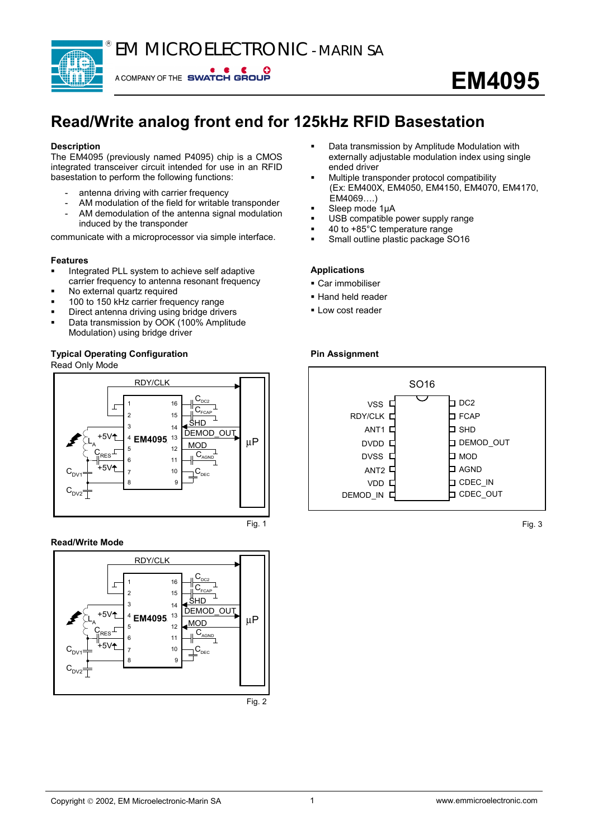EM MICROELECTRONIC - MARIN SA



A COMPANY OF THE SWATCH GROUP

# **EM4095**

# **Read/Write analog front end for 125kHz RFID Basestation**

# **Description**

The EM4095 (previously named P4095) chip is a CMOS integrated transceiver circuit intended for use in an RFID basestation to perform the following functions:

- antenna driving with carrier frequency
- AM modulation of the field for writable transponder
- AM demodulation of the antenna signal modulation induced by the transponder

communicate with a microprocessor via simple interface.

# **Features**

- Integrated PLL system to achieve self adaptive carrier frequency to antenna resonant frequency
- No external quartz required
- 100 to 150 kHz carrier frequency range
- Direct antenna driving using bridge drivers
- Data transmission by OOK (100% Amplitude Modulation) using bridge driver

# **Typical Operating Configuration** Read Only Mode



# **Read/Write Mode**





- Data transmission by Amplitude Modulation with externally adjustable modulation index using single ended driver
- Multiple transponder protocol compatibility (Ex: EM400X, EM4050, EM4150, EM4070, EM4170, EM4069….)
- Sleep mode 1µA
- USB compatible power supply range
- 40 to +85°C temperature range
- Small outline plastic package SO16

#### **Applications**

- Car immobiliser
- **Hand held reader**
- **-** Low cost reader

# **Pin Assignment**



Fig. 3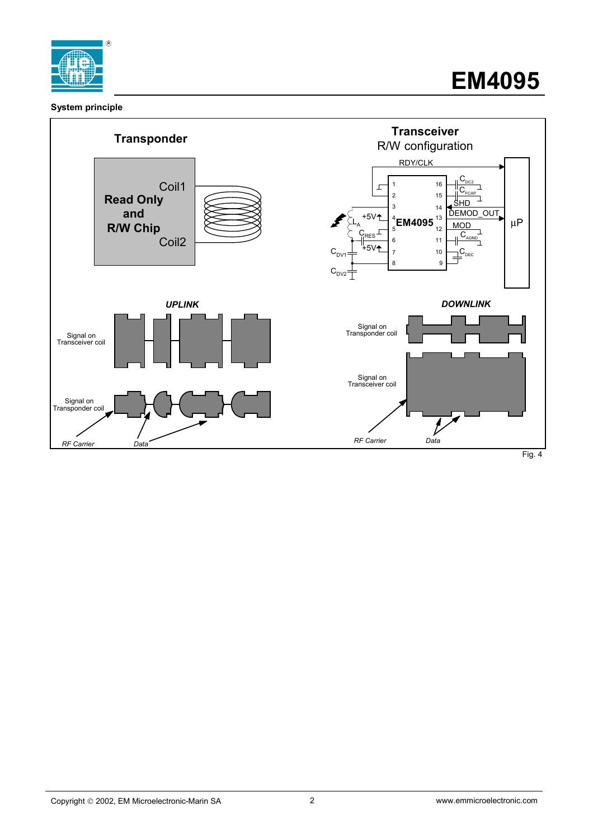

# **System principle**

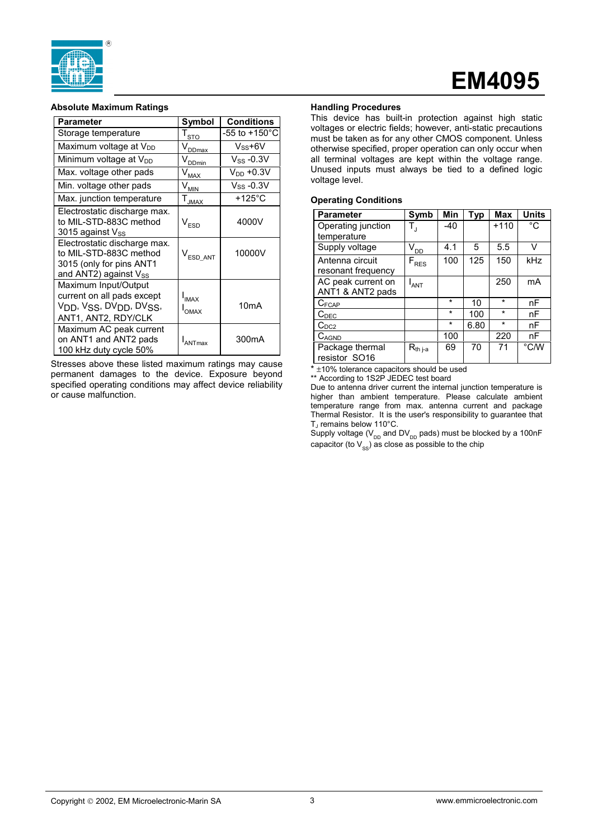

# **EM4095**

#### **Absolute Maximum Ratings**

| <b>Parameter</b>                                                                                                                                       | Symbol                       | <b>Conditions</b>         |
|--------------------------------------------------------------------------------------------------------------------------------------------------------|------------------------------|---------------------------|
| Storage temperature                                                                                                                                    | $I_{\underline{\text{STO}}}$ | $-55$ to $+150^{\circ}$ C |
| Maximum voltage at $V_{DD}$                                                                                                                            | $V_{DDmax}$                  | $V_{SS}$ +6V              |
| Minimum voltage at V <sub>DD</sub>                                                                                                                     | V <sub>DDmin</sub>           | $V_{SS}$ -0.3V            |
| Max. voltage other pads                                                                                                                                | $\mathsf{V}_{\textsf{MAX}}$  | $V_{DD}$ +0.3V            |
| Min. voltage other pads                                                                                                                                | $V_{\underline{\text{MIN}}}$ | $V$ ss -0.3V              |
| Max. junction temperature                                                                                                                              | I <sub>JMAX</sub>            | $+125^{\circ}$ C          |
| Electrostatic discharge max.<br>to MIL-STD-883C method<br>3015 against $V_{SS}$                                                                        | $\mathsf{V}_{\mathsf{FSD}}$  | 4000V                     |
| Electrostatic discharge max.<br>to MIL-STD-883C method<br>3015 (only for pins ANT1<br>and ANT2) against Vss                                            | $\rm V_{ESD~ANT}$            | 10000V                    |
| Maximum Input/Output<br>current on all pads except<br>V <sub>DD</sub> , V <sub>SS</sub> , DV <sub>DD</sub> , DV <sub>SS</sub> ,<br>ANT1, ANT2, RDY/CLK | $I_{IMAX}$<br>$I_{OMAX}$     | 10 <sub>m</sub> A         |
| Maximum AC peak current<br>on ANT1 and ANT2 pads<br>100 kHz duty cycle 50%                                                                             | ANTmax                       | 300mA                     |

Stresses above these listed maximum ratings may cause permanent damages to the device. Exposure beyond specified operating conditions may affect device reliability or cause malfunction.

# **Handling Procedures**

This device has built-in protection against high static voltages or electric fields; however, anti-static precautions must be taken as for any other CMOS component. Unless otherwise specified, proper operation can only occur when all terminal voltages are kept within the voltage range. Unused inputs must always be tied to a defined logic voltage level.

#### **Operating Conditions**

| <b>Parameter</b>   | Symb                                | Min     | <b>Typ</b> | <b>Max</b> | <b>Units</b> |
|--------------------|-------------------------------------|---------|------------|------------|--------------|
| Operating junction | Т,                                  | $-40$   |            | $+110$     | °C           |
| temperature        |                                     |         |            |            |              |
| Supply voltage     | $\mathsf{V}_{\mathsf{D}\mathsf{D}}$ | 4.1     | 5          | 5.5        | V            |
| Antenna circuit    | $F_{RES}$                           | 100     | 125        | 150        | kHz          |
| resonant frequency |                                     |         |            |            |              |
| AC peak current on | ANT                                 |         |            | 250        | mA           |
| ANT1 & ANT2 pads   |                                     |         |            |            |              |
| $C_{FCAP}$         |                                     | $\star$ | 10         | $\star$    | nF           |
| C <sub>DEC</sub>   |                                     | $\star$ | 100        | $\star$    | nF           |
| $C_{DC2}$          |                                     | $\star$ | 6.80       | $\star$    | nF           |
| CAGND              |                                     | 100     |            | 220        | nF           |
| Package thermal    | $R_{th i-a}$                        | 69      | 70         | 71         | °C/W         |
| resistor SO16      |                                     |         |            |            |              |

 $*$   $\pm$ 10% tolerance capacitors should be used

\*\* According to 1S2P JEDEC test board

Due to antenna driver current the internal junction temperature is higher than ambient temperature. Please calculate ambient temperature range from max. antenna current and package Thermal Resistor. It is the user's responsibility to guarantee that T<sub>J</sub> remains below 110°C.

Supply voltage ( $V_{DD}$  and DV<sub>DD</sub> pads) must be blocked by a 100nF capacitor (to  $V_{\rm ss}$ ) as close as possible to the chip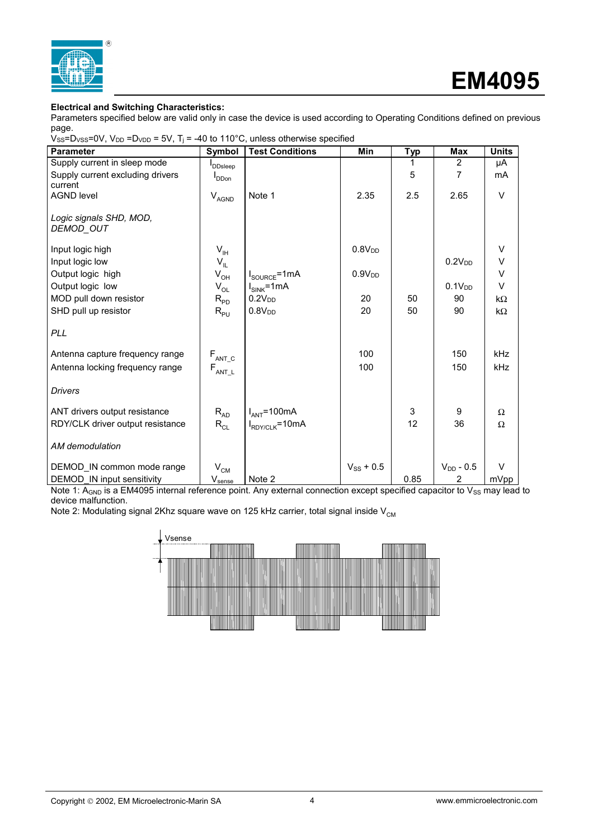

# **EM4095**

# **Electrical and Switching Characteristics:**

Parameters specified below are valid only in case the device is used according to Operating Conditions defined on previous page.

| . .                                                                                                                               |  |
|-----------------------------------------------------------------------------------------------------------------------------------|--|
| $V_{SS}$ =D <sub>VSS</sub> =0V, V <sub>DD</sub> =D <sub>VDD</sub> = 5V, T <sub>j</sub> = -40 to 110°C, unless otherwise specified |  |

| <b>Parameter</b>                 | Symbol                         | <b>Test Conditions</b>            | Min                | <b>Typ</b> | <b>Max</b>         | <b>Units</b> |
|----------------------------------|--------------------------------|-----------------------------------|--------------------|------------|--------------------|--------------|
| Supply current in sleep mode     | <b>DDsleep</b>                 |                                   |                    |            | 2                  | μA           |
| Supply current excluding drivers | D <sub>Don</sub>               |                                   |                    | 5          | 7                  | mA           |
| current                          |                                |                                   |                    |            |                    |              |
| <b>AGND level</b>                | $V_{AGND}$                     | Note 1                            | 2.35               | 2.5        | 2.65               | $\vee$       |
| Logic signals SHD, MOD,          |                                |                                   |                    |            |                    |              |
| DEMOD_OUT                        |                                |                                   |                    |            |                    |              |
|                                  |                                |                                   |                    |            |                    |              |
| Input logic high                 | $V_{\text{IH}}$                |                                   | 0.8V <sub>DD</sub> |            |                    | V            |
| Input logic low                  | $V_{IL}$                       |                                   |                    |            | 0.2V <sub>DD</sub> | V            |
| Output logic high                | $V_{OH}$                       | $I_{\text{SOURCE}} = 1 \text{mA}$ | 0.9V <sub>DD</sub> |            |                    | $\vee$       |
| Output logic low                 | $V_{OL}$                       | $I_{SINK}$ =1mA                   |                    |            | 0.1V <sub>DD</sub> | $\vee$       |
| MOD pull down resistor           | $R_{PD}$                       | 0.2V <sub>DD</sub>                | 20                 | 50         | 90                 | $k\Omega$    |
| SHD pull up resistor             | $R_{PU}$                       | 0.8V <sub>DD</sub>                | 20                 | 50         | 90                 | $k\Omega$    |
|                                  |                                |                                   |                    |            |                    |              |
| <b>PLL</b>                       |                                |                                   |                    |            |                    |              |
| Antenna capture frequency range  |                                |                                   | 100                |            | 150                | <b>kHz</b>   |
| Antenna locking frequency range  | $F_{ANT_C}$                    |                                   | 100                |            | 150                | kHz          |
|                                  | $\mathsf{F}_{\mathsf{ANT\_L}}$ |                                   |                    |            |                    |              |
| <b>Drivers</b>                   |                                |                                   |                    |            |                    |              |
| ANT drivers output resistance    | $R_{AD}$                       | $I_{ANT} = 100mA$                 |                    | 3          | 9                  | $\Omega$     |
| RDY/CLK driver output resistance | $R_{CL}$                       | $I_{RDY/CLK} = 10mA$              |                    | 12         | 36                 | Ω            |
|                                  |                                |                                   |                    |            |                    |              |
| AM demodulation                  |                                |                                   |                    |            |                    |              |
| DEMOD IN common mode range       | $\rm V_{\rm CM}$               |                                   | $V_{SS}$ + 0.5     |            | $V_{DD}$ - 0.5     | $\vee$       |
| DEMOD IN input sensitivity       | Vsense                         | Note 2                            |                    | 0.85       | $\overline{2}$     | mVpp         |

Note 1:  $A_{GND}$  is a EM4095 internal reference point. Any external connection except specified capacitor to  $V_{SS}$  may lead to device malfunction.

Note 2: Modulating signal 2Khz square wave on 125 kHz carrier, total signal inside  $V_{CM}$ 

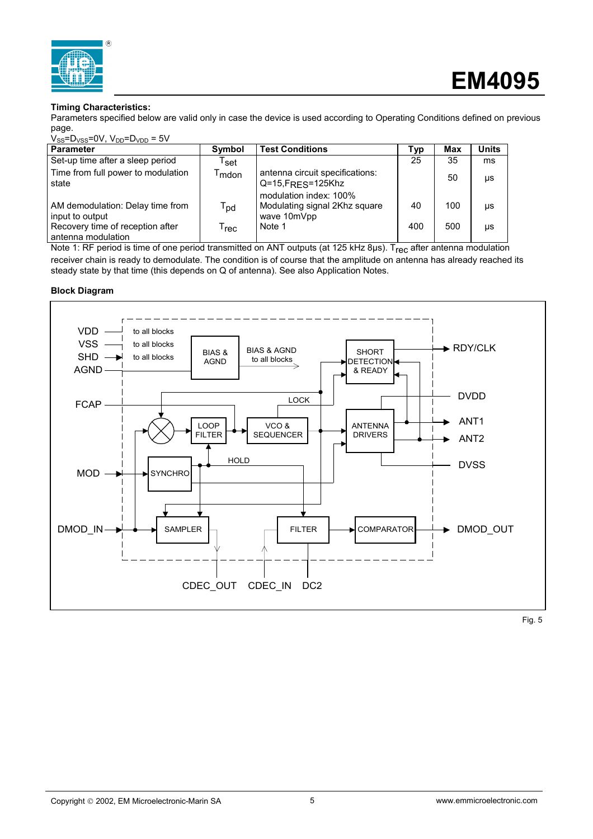

# **Timing Characteristics:**

Parameters specified below are valid only in case the device is used according to Operating Conditions defined on previous page.

| $V_{SS} = D_{VSS} = 0V$ , $V_{DD} = D_{VDD} = 5V$      |                              |                                                                                             |     |     |               |  |
|--------------------------------------------------------|------------------------------|---------------------------------------------------------------------------------------------|-----|-----|---------------|--|
| <b>Parameter</b>                                       | Symbol                       | <b>Test Conditions</b>                                                                      | Typ | Max | <b>Units</b>  |  |
| Set-up time after a sleep period                       | $\mathsf{T}_\mathsf{set}$    |                                                                                             | 25  | 35  | <sub>ms</sub> |  |
| Time from full power to modulation<br>state            | $\mathsf{T}_{\mathsf{mdon}}$ | antenna circuit specifications:<br>$Q = 15$ , $F_{RES} = 125$ Khz<br>modulation index: 100% |     | 50  | μs            |  |
| AM demodulation: Delay time from<br>input to output    | $T_{\text{pd}}$              | Modulating signal 2Khz square<br>wave 10mVpp                                                | 40  | 100 | μs            |  |
| Recovery time of reception after<br>antenna modulation | T $_{\sf rec}$               | Note 1                                                                                      | 400 | 500 | μs            |  |

Note 1: RF period is time of one period transmitted on ANT outputs (at 125 kHz 8µs). Trec after antenna modulation receiver chain is ready to demodulate. The condition is of course that the amplitude on antenna has already reached its steady state by that time (this depends on Q of antenna). See also Application Notes.

# **Block Diagram**



Fig. 5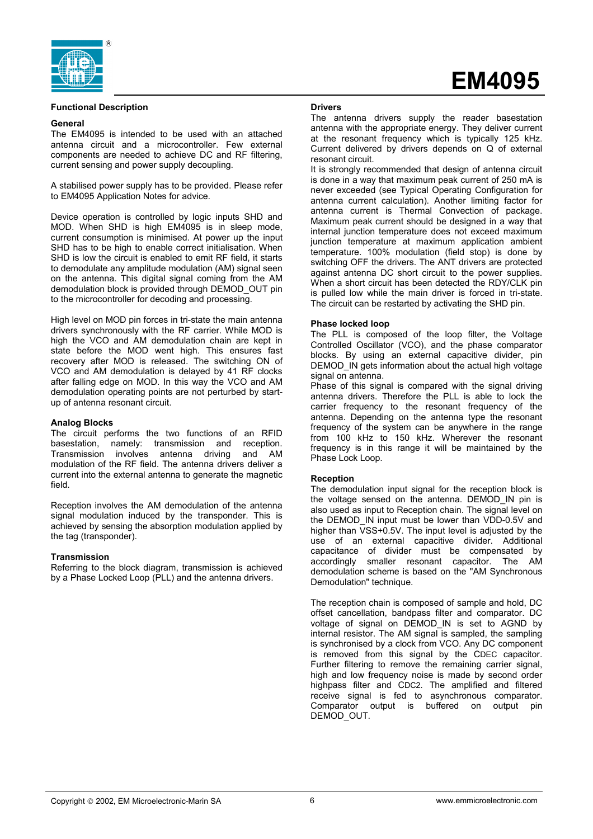

#### **Functional Description**

#### **General**

The EM4095 is intended to be used with an attached antenna circuit and a microcontroller. Few external components are needed to achieve DC and RF filtering, current sensing and power supply decoupling.

A stabilised power supply has to be provided. Please refer to EM4095 Application Notes for advice.

Device operation is controlled by logic inputs SHD and MOD. When SHD is high EM4095 is in sleep mode, current consumption is minimised. At power up the input SHD has to be high to enable correct initialisation. When SHD is low the circuit is enabled to emit RF field, it starts to demodulate any amplitude modulation (AM) signal seen on the antenna. This digital signal coming from the AM demodulation block is provided through DEMOD\_OUT pin to the microcontroller for decoding and processing.

High level on MOD pin forces in tri-state the main antenna drivers synchronously with the RF carrier. While MOD is high the VCO and AM demodulation chain are kept in state before the MOD went high. This ensures fast recovery after MOD is released. The switching ON of VCO and AM demodulation is delayed by 41 RF clocks after falling edge on MOD. In this way the VCO and AM demodulation operating points are not perturbed by startup of antenna resonant circuit.

#### **Analog Blocks**

The circuit performs the two functions of an RFID basestation, namely: transmission and reception. Transmission involves antenna driving and AM modulation of the RF field. The antenna drivers deliver a current into the external antenna to generate the magnetic field.

Reception involves the AM demodulation of the antenna signal modulation induced by the transponder. This is achieved by sensing the absorption modulation applied by the tag (transponder).

#### **Transmission**

Referring to the block diagram, transmission is achieved by a Phase Locked Loop (PLL) and the antenna drivers.

#### **Drivers**

The antenna drivers supply the reader basestation antenna with the appropriate energy. They deliver current at the resonant frequency which is typically 125 kHz. Current delivered by drivers depends on Q of external resonant circuit.

**EM4095**

It is strongly recommended that design of antenna circuit is done in a way that maximum peak current of 250 mA is never exceeded (see Typical Operating Configuration for antenna current calculation). Another limiting factor for antenna current is Thermal Convection of package. Maximum peak current should be designed in a way that internal junction temperature does not exceed maximum junction temperature at maximum application ambient temperature. 100% modulation (field stop) is done by switching OFF the drivers. The ANT drivers are protected against antenna DC short circuit to the power supplies. When a short circuit has been detected the RDY/CLK pin is pulled low while the main driver is forced in tri-state. The circuit can be restarted by activating the SHD pin.

#### **Phase locked loop**

The PLL is composed of the loop filter, the Voltage Controlled Oscillator (VCO), and the phase comparator blocks. By using an external capacitive divider, pin DEMOD IN gets information about the actual high voltage signal on antenna.

Phase of this signal is compared with the signal driving antenna drivers. Therefore the PLL is able to lock the carrier frequency to the resonant frequency of the antenna. Depending on the antenna type the resonant frequency of the system can be anywhere in the range from 100 kHz to 150 kHz. Wherever the resonant frequency is in this range it will be maintained by the Phase Lock Loop.

# **Reception**

The demodulation input signal for the reception block is the voltage sensed on the antenna. DEMOD IN pin is also used as input to Reception chain. The signal level on the DEMOD IN input must be lower than VDD-0.5V and higher than VSS+0.5V. The input level is adjusted by the use of an external capacitive divider. Additional capacitance of divider must be compensated by accordingly smaller resonant capacitor. The AM demodulation scheme is based on the "AM Synchronous Demodulation" technique.

The reception chain is composed of sample and hold, DC offset cancellation, bandpass filter and comparator. DC voltage of signal on DEMOD\_IN is set to AGND by internal resistor. The AM signal is sampled, the sampling is synchronised by a clock from VCO. Any DC component is removed from this signal by the CDEC capacitor. Further filtering to remove the remaining carrier signal, high and low frequency noise is made by second order highpass filter and CDC2. The amplified and filtered receive signal is fed to asynchronous comparator. Comparator output is buffered on output pin DEMOD\_OUT.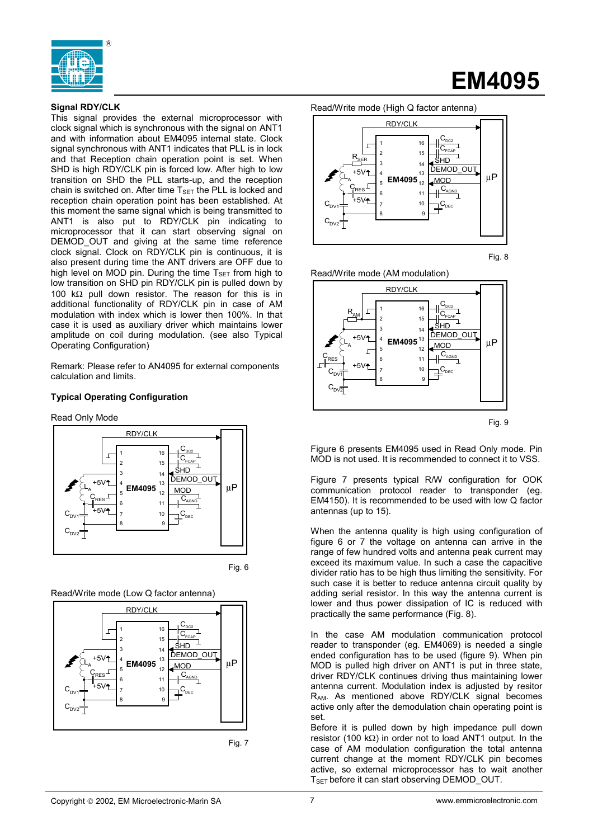

# **Signal RDY/CLK**

This signal provides the external microprocessor with clock signal which is synchronous with the signal on ANT1 and with information about EM4095 internal state. Clock signal synchronous with ANT1 indicates that PLL is in lock and that Reception chain operation point is set. When SHD is high RDY/CLK pin is forced low. After high to low transition on SHD the PLL starts-up, and the reception chain is switched on. After time  $T_{\text{SET}}$  the PLL is locked and reception chain operation point has been established. At this moment the same signal which is being transmitted to ANT1 is also put to RDY/CLK pin indicating to microprocessor that it can start observing signal on DEMOD OUT and giving at the same time reference clock signal. Clock on RDY/CLK pin is continuous, it is also present during time the ANT drivers are OFF due to high level on MOD pin. During the time  $T_{\text{SET}}$  from high to low transition on SHD pin RDY/CLK pin is pulled down by 100 kΩ pull down resistor. The reason for this is in additional functionality of RDY/CLK pin in case of AM modulation with index which is lower then 100%. In that case it is used as auxiliary driver which maintains lower amplitude on coil during modulation. (see also Typical Operating Configuration)

Remark: Please refer to AN4095 for external components calculation and limits.

# **Typical Operating Configuration**

Read Only Mode



Fig. 6







# **EM4095**



Fig. 8





Fig. 9

Figure 6 presents EM4095 used in Read Only mode. Pin MOD is not used. It is recommended to connect it to VSS.

Figure 7 presents typical R/W configuration for OOK communication protocol reader to transponder (eg. EM4150). It is recommended to be used with low Q factor antennas (up to 15).

When the antenna quality is high using configuration of figure 6 or 7 the voltage on antenna can arrive in the range of few hundred volts and antenna peak current may exceed its maximum value. In such a case the capacitive divider ratio has to be high thus limiting the sensitivity. For such case it is better to reduce antenna circuit quality by adding serial resistor. In this way the antenna current is lower and thus power dissipation of IC is reduced with practically the same performance (Fig. 8).

In the case AM modulation communication protocol reader to transponder (eg. EM4069) is needed a single ended configuration has to be used (figure 9). When pin MOD is pulled high driver on ANT1 is put in three state, driver RDY/CLK continues driving thus maintaining lower antenna current. Modulation index is adjusted by resitor RAM. As mentioned above RDY/CLK signal becomes active only after the demodulation chain operating point is set.

Before it is pulled down by high impedance pull down resistor (100 kΩ) in order not to load ANT1 output. In the case of AM modulation configuration the total antenna current change at the moment RDY/CLK pin becomes active, so external microprocessor has to wait another T<sub>SET</sub> before it can start observing DEMOD OUT.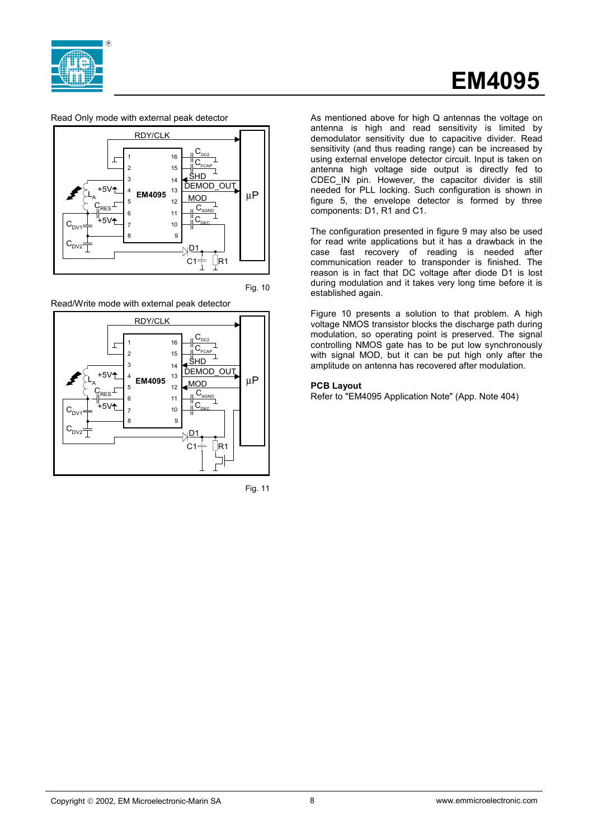

# **EM4095**

Read Only mode with external peak detector



Fig. 10

Read/Write mode with external peak detector





As mentioned above for high Q antennas the voltage on antenna is high and read sensitivity is limited by demodulator sensitivity due to capacitive divider. Read sensitivity (and thus reading range) can be increased by using external envelope detector circuit. Input is taken on antenna high voltage side output is directly fed to CDEC IN pin. However, the capacitor divider is still needed for PLL locking. Such configuration is shown in figure 5, the envelope detector is formed by three components: D1, R1 and C1.

The configuration presented in figure 9 may also be used for read write applications but it has a drawback in the case fast recovery of reading is needed after communication reader to transponder is finished. The reason is in fact that DC voltage after diode D1 is lost during modulation and it takes very long time before it is established again.

Figure 10 presents a solution to that problem. A high voltage NMOS transistor blocks the discharge path during modulation, so operating point is preserved. The signal controlling NMOS gate has to be put low synchronously with signal MOD, but it can be put high only after the amplitude on antenna has recovered after modulation.

# **PCB Layout**

Refer to "EM4095 Application Note" (App. Note 404)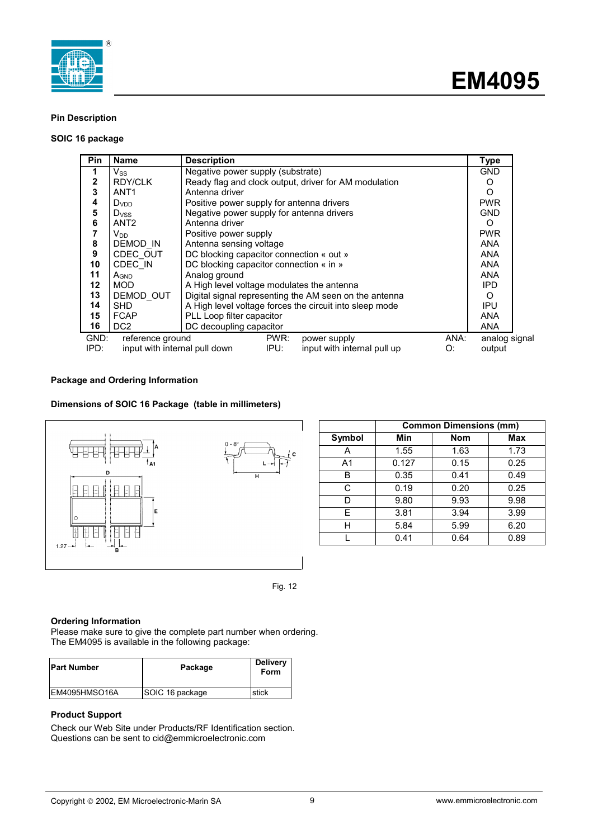



# **Pin Description**

# **SOIC 16 package**

| Pin          | <b>Name</b>                   | <b>Description</b>                                      | <b>Type</b>   |
|--------------|-------------------------------|---------------------------------------------------------|---------------|
| 1            | $V_{SS}$                      | Negative power supply (substrate)                       | <b>GND</b>    |
| $\mathbf{2}$ | <b>RDY/CLK</b>                | Ready flag and clock output, driver for AM modulation   | O             |
| 3            | ANT <sub>1</sub>              | Antenna driver                                          | O             |
| 4            | Dvnn                          | Positive power supply for antenna drivers               | <b>PWR</b>    |
| 5            | <b>D</b> <sub>vss</sub>       | Negative power supply for antenna drivers               | <b>GND</b>    |
| 6            | ANT <sub>2</sub>              | Antenna driver                                          | O             |
| 7            | $V_{DD}$                      | Positive power supply                                   | <b>PWR</b>    |
| 8            | DEMOD IN                      | Antenna sensing voltage                                 | <b>ANA</b>    |
| 9            | CDEC OUT                      | DC blocking capacitor connection « out »                | <b>ANA</b>    |
| 10           | CDEC IN                       | DC blocking capacitor connection « in »                 | <b>ANA</b>    |
| 11           | A <sub>GND</sub>              | Analog ground                                           | <b>ANA</b>    |
| $12 \,$      | MOD.                          | A High level voltage modulates the antenna              | IPD.          |
| 13           | DEMOD OUT                     | Digital signal representing the AM seen on the antenna  | O             |
| 14           | <b>SHD</b>                    | A High level voltage forces the circuit into sleep mode | <b>IPU</b>    |
| 15           | <b>FCAP</b>                   | PLL Loop filter capacitor                               | <b>ANA</b>    |
| 16           | DC <sub>2</sub>               | DC decoupling capacitor                                 | <b>ANA</b>    |
| GND:         | reference ground              | PWR:<br>ANA:<br>power supply                            | analog signal |
| IPD:         | input with internal pull down | IPU:<br>input with internal pull up<br>O:               | output        |

# **Package and Ordering Information**

# **Dimensions of SOIC 16 Package (table in millimeters)**



|        | <b>Common Dimensions (mm)</b> |            |      |  |
|--------|-------------------------------|------------|------|--|
| Symbol | Min                           | <b>Nom</b> | Max  |  |
| A      | 1.55                          | 1.63       | 1.73 |  |
| A1     | 0.127                         | 0.15       | 0.25 |  |
| B      | 0.35                          | 0.41       | 0.49 |  |
| С      | 0.19                          | 0.20       | 0.25 |  |
| D      | 9.80                          | 9.93       | 9.98 |  |
| E      | 3.81                          | 3.94       | 3.99 |  |
| н      | 5.84                          | 5.99       | 6.20 |  |
|        | 0.41                          | 0.64       | 0.89 |  |



# **Ordering Information**

Please make sure to give the complete part number when ordering. The EM4095 is available in the following package:

| <b>IPart Number</b> | Package         | <b>Delivery</b><br>Form |
|---------------------|-----------------|-------------------------|
| EM4095HMSO16A       | SOIC 16 package | ıstick                  |

# **Product Support**

Check our Web Site under Products/RF Identification section. Questions can be sent to cid@emmicroelectronic.com